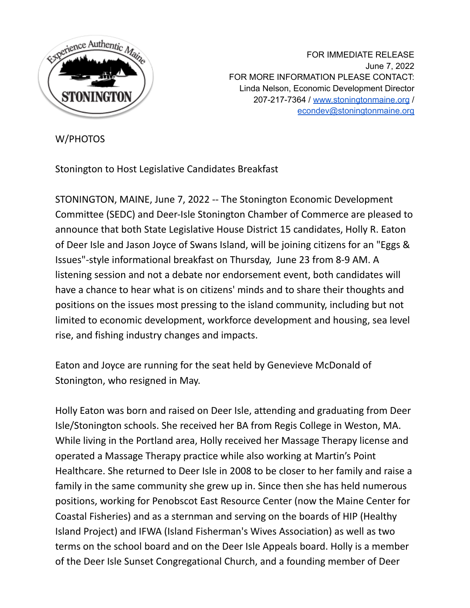

FOR IMMEDIATE RELEASE June 7, 2022 FOR MORE INFORMATION PLEASE CONTACT: Linda Nelson, Economic Development Director 207-217-7364 / [www.stoningtonmaine.org](http://www.stoningtonmaine.org) / [econdev@stoningtonmaine.org](mailto:econdev@stoningtonmaine.org)

## W/PHOTOS

Stonington to Host Legislative Candidates Breakfast

STONINGTON, MAINE, June 7, 2022 -- The Stonington Economic Development Committee (SEDC) and Deer-Isle Stonington Chamber of Commerce are pleased to announce that both State Legislative House District 15 candidates, Holly R. Eaton of Deer Isle and Jason Joyce of Swans Island, will be joining citizens for an "Eggs & Issues"-style informational breakfast on Thursday, June 23 from 8-9 AM. A listening session and not a debate nor endorsement event, both candidates will have a chance to hear what is on citizens' minds and to share their thoughts and positions on the issues most pressing to the island community, including but not limited to economic development, workforce development and housing, sea level rise, and fishing industry changes and impacts.

Eaton and Joyce are running for the seat held by Genevieve McDonald of Stonington, who resigned in May.

Holly Eaton was born and raised on Deer Isle, attending and graduating from Deer Isle/Stonington schools. She received her BA from Regis College in Weston, MA. While living in the Portland area, Holly received her Massage Therapy license and operated a Massage Therapy practice while also working at Martin's Point Healthcare. She returned to Deer Isle in 2008 to be closer to her family and raise a family in the same community she grew up in. Since then she has held numerous positions, working for Penobscot East Resource Center (now the Maine Center for Coastal Fisheries) and as a sternman and serving on the boards of HIP (Healthy Island Project) and IFWA (Island Fisherman's Wives Association) as well as two terms on the school board and on the Deer Isle Appeals board. Holly is a member of the Deer Isle Sunset Congregational Church, and a founding member of Deer